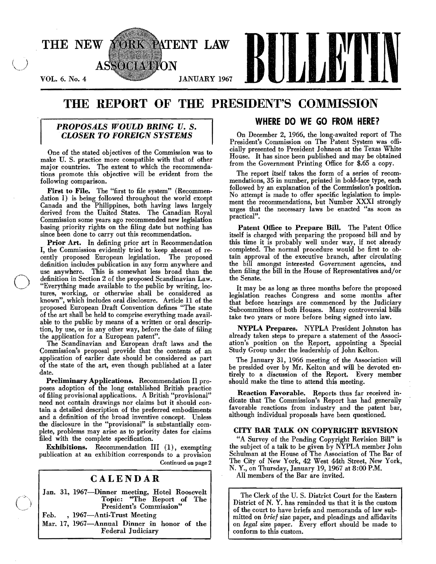

# THE REPORT OF THE PRESIDENT'S COMMISSION

## *PROPOSALS WOULD BRING U.* S. *CLOSER TO FOREIGN SYSTEMS*

One of the stated objectives of the Commission was to make U. S. practice more compatible with that of other major countries. The extent to which the recommendations promote this objective will be evident from the following comparison.

First to File. The "first to file system" (Recommendation I) is being followed throughout the world except Canada and the Philippines, both having laws largely derived from the United States. The Canadian Royal Commission some years ago recommended new legislation basing priority rights on the filing date but nothing has since been done to carry out this recommendation.

Prior Art. In defining prior art in Recommendation I, the Commission evidently tried to keep abreast of recently proposed European legislation. The proposed definition includes publication in any form anywhere and use anywhere. This is somewhat less broad than the definition in Section 2 of the proposed Scandinavian Law. "Everything made available to the public by writing, lectures, working, or otherwise shall be considered as known", which includes oral disclosure. Article 11 of the proposed European Draft Convention defines "The state of the art shall be held to comprise everything made available to the public by means of a written or oral description, by use, or in any other way, before the date of filing the application for a European patent".

o

 $\bigl(\bigl($ 

The Scandinavian and European draft laws and the Commission's proposal provide that the contents of an application of earlier date should be considered as part of the state of the art, even though published at a later date.

Preliminary Applications. Recommendation II proposes adoption of the long established British practice of filing provisional applications. A British "provisional" need not contain drawings nor claims but it should contain a detailed description of the preferred embodiments and a definition of the broad inventive concept. Unless the disclosure in the "provisional" is substantially complete, problems may arise as to priority dates for claims filed with the complete specification.

Exhibitions. Recommendation III (1), exempting publication at an exhibition corresponds to a provision Continued on page 2

## CALENDAR

Jan. 31, 1967-Dinner meeting, Hotel Roosevelt Topic: "The Report of The President's Commission"

Feb., 1967—Anti-Trust Meeting Mar. 17, 1967-Annual Dinner in honor of the Federal Judiciary

## WHERE DO WE GO FROM HERE?

On December 2, 1966, the long-awaited report of The President's Commission on The Patent System was offi· cially presented to President Johnson at the Texas White House. It has since been published and may be obtained from the Government Printing Office for \$.65 a copy.

The report itself takes the form of a series of recommendations, 35 in number, printed in bold·face type, each followed by an explanation of the Commission's position. No attempt is made to offer specific legislation to implement the recommendations, but Number XXXI strongly urges that the necessary laws be enacted "as soon as practical".

Patent Office to Prepare Bill. The Patent Office itself is charged with preparing the proposed bill and by this time it is probably well under way, if not already completed. The normal procedure would be first to obtain approval of the executive branch, after circulating the bill amongst interested Government agencies, and then filing the bill in the House of Representatives and/or the Senate.

It may be as long as three months before the proposed legislation reaches Congress and some months after that before hearings are commenced by the Judiciary Subcommittees of both Houses. Many controversial bills take two years or more before being signed into law.

NYPLA Prepares. NYPLA President Johnston has already taken steps to prepare a statement of the Associ· ation's position on the Report, appointing a Special Study Group under the leadership of John Kelton.

The January 31, 1966 meeting of the Association will be presided over by Mr. Kelton and will be devoted entirely to a discussion of the Report. Every member should make the time to attend this meeting.

Reaction Favorable. Reports thus far received indicate that The Commission's Report has had generally favorable reactions from industry and the patent bar, although individual proposals have been questioned.

### CITY BAR TALK ON COPYRIGHT REVISION

"A Survey of the Pending Copyright Revision Bill" is the subject of a talk to be given by NYPLA member John Schulman at the House of The Association of The Bar of The City of New York, 42 West 44th Street, New York, N. Y., on Thursday, January 19, 1967 at 8:00 P.M.

All members of the Bar are invited.

The Clerk of the U. S. District Court for the Eastern District of N. Y. has reminded us that it is the custom of the court to have briefs and memoranda of law sub· mitted on *brief* size paper, and pleadings and affidavits on *legal* size paper. Every effort should be made to conform to this custom.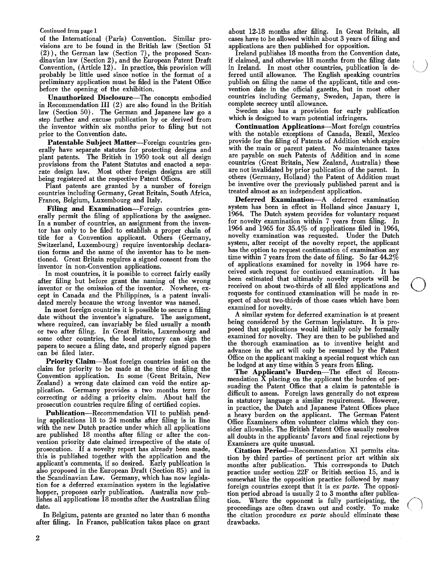### Continued from page 1

of the International (Paris) Convention. Similar provisions are to be found in the British law (Section 51 (2) ), the German law (Section 7), the proposed Scandinavian law (Section 2), and the European Patent Draft Convention, (Article 12). In practice, this provision will probably be little used since notice in the format of a preliminary application must be filed in the Patent Office before the opening of the exhibition.

Unauthorized Disclosure-The concepts embodied in Recommendation III (2) are also found in the British law (Section 50). The German and Japanese law go a step further and excuse publication by or derived from the inventor within six months prior to filing but not prior to the Convention date.

Patentable Subject Matter-Foreign countries generally have separate statutes for protecting designs and plant patents. The British in 1950 took out all design provisions from the Patent Statutes and enacted a separate design law. Most other foreign designs are still being registered at the respective Patent Offices.

Plant patents are granted by a number of foreign countries including Germany, Great Britain, South Africa, France, Belgium, Luxembourg and Italy.

Filing and Examination-Foreign countries generally permit the filing of applications by the assignee. In a number of countries, an assignment from the inventor has only to be filed to establish a proper chain of title for a Convention applicant. Others (Germany, Switzerland, Luxembourg) require inventorship declaration forms and the name of the inventor has to be mentioned. Great Britain requires a signed consent from the inventor in non-Convention applications.

In most countries, it is possible to correct fairly easily after filing but before grant the naming of the wrong inventor or the omission of the inventor. Nowhere, except in Canada and the Philippines, is a patent invalidated merely because the wrong inventor was named.

In most foreign countries it is possible to secure a filing date without the inventor's signature. The assignment, where required, can invariably be filed usually a month or two after filing. In Great Britain, Luxembourg and some other countries, the local attorney can sign the papers to secure a filing date, and properly signed papers can be filed later.

Priority Claim-Most foreign countries insist on the claim for priority to be made at the time of filing the Convention application. In some (Great Britain, New Zealand) a wrong date claimed can void the entire application. Germany provides a two months term for correcting or adding a priority claim. About half the prosecution countries require filing of certified copies.

Publication-Recommendation VII to publish pending applications 18 to 24 months after filing is in line with the new Dutch practice under which all applications are published 18 months after filing or after the convention priority date claimed irrespective of the state of prosecution. If a novelty report has already been made, this is published together with the application and the applicant's comments, if so desired. Early publication is also proposed in the European Draft (Section 85) and in the Scandinavian Law. Germany, which has now legislation for a deferred examination system in the legislative hopper, proposes early publication. Australia now publishes all applications 18 months after the Australian filing date.

In Belgium, patents are granted no later than 6 months after filing. In France, publication takes place on grant about 12-18 months after filing. In Great Britain, all cases have to be allowed within about 3 years of filing and applications are then published for opposition.

Ireland publishes 18 months from the Convention date, if claimed, and otherwise 18 months from the filing date in Ireland. In most other countries, publication is deferred until allowance. The English speaking countries publish on filing the name of the applicant, title and convention date in the official gazette, but in most other countries including Germany, Sweden, Japan, there is complete secrecy until allowance.

Sweden also has a provision for early publication which is designed to warn potential infringers.

Continuation Applications-Most foreign countries with the notable exceptions of Canada, Brazil, Mexico provide for the filing of Patents of Addition which expire with the main or parent patent. No maintenance taxes are payable on such Patents of Addition and in some countries (Great Britain, New Zealand, Australia) these are not invalidated by prior publication of the parent. In others (Germany, Holland) the Patent of Addition must be inventive over the previously published parent and is treated almost as an independent application.

Deferred Examination-A deferred examination system has been in effect in Holland since January I, 1964. The Dutch system provides for voluntary request for novelty examination within 7 years from filing. In 1964 and 1965 for 35.4% of applications filed in 1964, novelty examination was requested. Under the Dutch system, after receipt of the novelty report, the applicant has the option to request continuation of examination any time within 7 years from the date of filing. So far  $44.2\%$ of applications examined for novelty in 1964 have received such request for continued examination. It has been estimated that ultimately novelty reports will be received on about two-thirds of all filed applications and requests for continued examination will be made in respect of about two-thirds of those cases which have been examined for novelty.

A similar system for deferred examination is at present being considered by the German legislature. It is proposed that applications would initially only be formally examined for novelty. They are then to be published and the thorough examination as to inventive height and advance in the art will only be resumed by the Patent Office on the applicant making a special request which can be lodged at any time within 5 years from filing.

The Applicant's Burden-The effect of Recommendation  $\hat{X}$  placing on the applicant the burden of persuading the Patent Office that a claim is patentable is difficult to assess. Foreign laws generally do not express in statutory language a similar requirement. However, in practice, the Dutch and Japanese Patent Offices place a heavy burden on the applicant. The German Patent Office Examiners often volunteer claims which they consider allowable. The British Patent Office usually resolves all doubts in the applicants' favors and final rejections by Examiners are quite unusual.

Citation Period-Recommendation XI permits citation by third parties of pertinent prior art within six months after publication. This corresponds to Dutch practice under section 22F or British section 15, and is somewhat like the opposition practice followed by many foreign countries except that it is *ex parte.* The opposition period abroad is usually 2 to 3 months after publication. Where the opponent is fully participating, the proceedings are often drawn out and costly. To make the citation procedure *ex parte* should eliminate these drawbacks.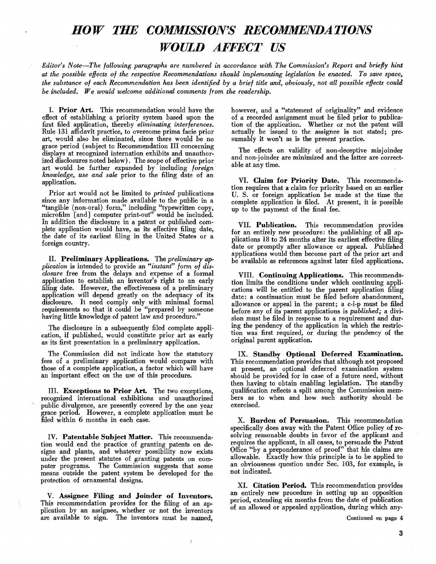# *HOW THE COMMISSION'S RECOMMENDATIONS WOULD AFFECT US*

*Editor's Note-The following paragraphs are numbered in accordance with The Commission's Report and briefly hint at the possible effects of the respective Recommendations should implementing legislation be enacted. To save space, the substance of each Recommendation has been identified by a brief title and, obviously, not all possible effects could be included. We would welcome additional comments from the readership.* 

L Prior Art. This recommendation would have the effect of establishing a priority system based upon the first filed application, thereby *eliminating interferences.*  Rule 131 affidavit practice, to overcome prima facie prior art, would also be eliminated, since there would be no grace period (subject to Recommendation III concerning displays at recognized internation exhibits and unauthorized disclosures noted below). The scope of effective prior art would be further expanded by including *foreign knowledge, use and sale* prior to the filing date of an application.

Prior art would not be limited to *printed* publications since any information made available to the public in a "tangible (non-oral) form," including "typewritten copy, microfilm [and] computer print-out" would be included. In addition the disclosure in a patent or published complete application would have, as its effective filing date, the date of its earliest filing in the United States or a foreign country.

filing date. However, the effectiveness of a preliminary application will depend greatly on the adequacy of its *plication*  application to establish an inventor's right to an early closure free from the delays and expense of a formal II. Preliminary is intended Applications. to provide an *"instant"*  The *preliminary form of*  disclosure. It need comply only with minimal formal requirements so that it could be "prepared by someone having little knowledge of patent law and procedure."

The disclosure in a subsequently filed complete application, if published, would constitute prior art as early as its first presentation in a preliminary application.

The Commission did not indicate how the statutory fees of a preliminary application would compare with those of a complete application, a factor which will have an important effect on the use of this procedure.

III. Exceptions to Prior Art. The two exceptions, recognized international exhibitions and unauthorized public divulgence, are presently covered by the one year grace period. However, a complete application must be filed within 6 months in each case.

IV. Patentable Subject Matter. This recommendation would end the practice of granting patents on designs and plants, and whatever possibility now exists under the present statutes of granting patents on computer programs. The Commission suggests that some means outside the patent system be developed for the protection of ornamental designs.

V. Assignee Filing and Joinder of Inventors. This recommendation provides for the filing of an application by an assignee, whether or not the inventors are available to sign. The inventors must be named,

 $\boldsymbol{\beta}$ 

however, and a "statement of originality" and evidence of a recorded assignment must be filed prior to publica. tion of the application. Whether or not the patent will actually be issued to the assignee is not stated; presumably it won't as is the present practice.

The effects on validity of non.deceptive misjoinder and non-joinder are minimized and the latter are correctable at any time.

VI. Claim for Priority Date. This recommendation requires that a claim for priority based on an earlier U. S. or foreign application be made at the time the complete application is filed. At present, it is possible up to the payment of the final fee.

*disap-*be available as references against later filed applications. VII. Publication. This recommendation provides for an entirely new procedure: the publishing of all applications 18 to 24 months after its earliest effective filing date or promptly after allowance or appeal. Published applications would then become part of the prior art and

> VIII. Continuing Applications. This recommenda. tion limits the conditions under which continuing applications will be entitled to the parent application filing date: a continuation must be filed before abandonment, allowance or appeal in the parent; a c-i-p must be filed before any of its parent applications is *published;* a division must be filed in response to a requirement and during the pendency of the application in which the restriction was first required, or during the pendency of the original parent application.

> IX. Standby Optional Deferred Examination. This recommendation provides that although not proposed at present, an optional deferred examination system should be provided for in case of a future need, without then having to obtain enabling legislation. The standby qualification reflects a split among the Commission members as to when and how such authority should be exercised.

> X. Burden of Persuasion. This recommendation specifically does away with the Patent Office policy of resolving reasonable doubts in favor of the applicant and requires the applicant, in all cases, to persuade the Patent Office "by a preponderance of proof" that his claims are allowable. Exactly how this principle is to be applied to an obviousness question under Sec. 103, for example, is not indicated.

> XI. Citation Period. This recommendation provides an entirely new procedure in setting up an opposition period, extending six months from the date of publication of an allowed or appealed application, during which any-

> > Continued on page 4

3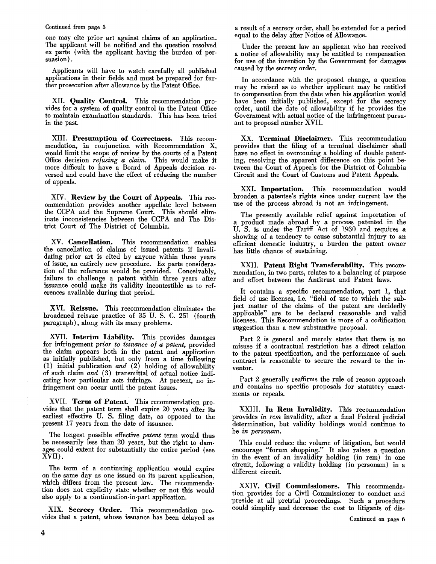### Continued from page 3

one may cite prior art against claims of an application. The applicant will be notified and the question resolved ex parte (with the applicant having the burden of per· suasion) .

Applicants will have to watch carefully all published applications in their fields and must be prepared for further prosecution after allowance by the Patent Office.

XII. Quality Control. This recommendation provides for a system of quality control in the Patent Office to maintain examination standards. This has been tried in the past.

XIII. Presumption of Correctness. This recommendation, in conjunction with Recommendation X, would limit the scope of review by the courts of a Patent Office decision *refusing a claim.* This would make it more difficult to have a Board of Appeals decision reversed and could have the effect of reducing the number of appeals.

XIV. Review by the Court of Appeals. This recommendation provides another appellate level between the CCPA and the Supreme Court. This should eliminate inconsistencies between the CCPA and The District Court of The District of Columbia.

XV. Cancellation. This recommendation enables the cancellation of claims of issued patents if invalidating prior art is cited by anyone within three years of issue, an entirely new procedure. Ex parte consideration of the reference would be provided. Conceivably, failure to challenge a patent within three years after issuance could make its validity incontestible as to references available during that period.

XVI. Reissue. This recommendation eliminates the broadened reissue practice of 35 U. S. C. 251 (fourth paragraph), along with its many problems.

XVII. Interim Liability. This provides damages for infringement *prior to issuance of a patent,* provided the claim appears both in the patent and application as initially published, but only from a time following (1) initial publication *and* (2) holding of allowability of such claim *and* (3) transmittal of actual notice indicating how particular acts infringe. At present, no infringement can occur until the patent issues.

XVII. Term of Patent. This recommendation provides that the patent term shall expire 20 years after its earliest effective U. S. filing date, as opposed to the present 17 years from the date of issuance.

The longest possible effective *patent* term would thus be necessarily less than 20 years, but the right to damages could extent for substantially the entire period (see XVII).

The term of a continuing application would expire on the same day as one issued on its parent application, which differs from the present law. The recommendation does not explicity state whether or not this would also apply to a continuation-in-part application.

XIX. Secrecy Order. This recommendation provides that a patent, whose issuance has been delayed as a result of a secrecy order, shall be extended for a period equal to the delay after Notice of Allowance.

Under the present law an applicant who has received a notice of allowability may be entitled to compensation for use of the invention by the Government for damages caused by the secrecy order.

In accordance with the proposed change, a question may be raised as to whether applicant may be entitled to compensation from the date when his application would have been initially published, except for the secrecy order, until the date of allowability if he provides the Government with actual notice of the infringement pursuant to proposal number XVII.

XX. Terminal Disclaimer. This recommendation provides that the filing of a terminal disclaimer shall have no effect in overcoming a holding of double patenting, resolving the apparent difference on this point between the Court of Appeals for the District of Columbia Circuit and the Court of Customs and Patent Appeals.

XXI. Importation. This recommendation would broaden a patentee's rights since under current law the use of the process abroad is not an infringement.

The presently available relief against importation of a product made abroad by a process patented in the U. S. is under the Tariff Act of 1930 and requires a showing of a tendency to cause substantial injury to an efficient domestic industry, a burden the patent owner has little chance of sustaining.

XXII. Patent Right Transferability. This recommendation, in two parts, relates to a balancing of purpose and effort between the Antitrust and Patent laws.

It contains a specific recommendation, part 1, that field of use licenses, i.e. "field of use to which the subject matter of the claims of the patent are decidedly applicable" are to be declared reasonable and valid licenses. This Recommendation is more of a codification suggestion than a new substantive proposal.

Part 2 is general and merely states that there is no misuse if a contractual restriction has a direct relation to the patent specification, and the performance of such contract is reasonable to secure the reward to the inventor.

. Part 2 generally reaffirms the rule of reason approach and contains no specific proposals for statutory enact . ments or repeals.

XXIII. In Rem Invalidity. This recommendation provides *in rem* invalidity, after a final Federal judicial determination, but validity holdings would continue to be *in personam.* 

This could reduce the volume of litigation, but would encourage "forum shopping." It also raises a question in the event of an invalidity holding (in rem) in one circuit, following a validity holding (in personam) in a different circuit.

XXIV. Civil Commissioners. This recommendation provides for a Civil Commissioner to conduct and preside at all pretrial proceedings. Such a procedure could simplify and decrease the cost to litigants of dis-

Continued on page 6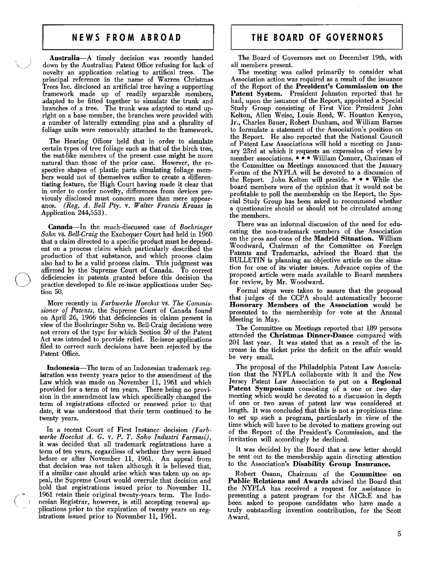Australia-A timely decision was recently handed down by the Australian Patent Office refusing for lack of novelty an application relating to artifical trees. The principal reference in the name of Warren Christmas Trees Inc. disclosed an artificial tree having a supporting framework made up of readily separable members, adapted to be fitted together to simulate the trunk and branches of a tree. The trunk was adapted to stand upright on a base member, the branches were provided with a number of laterally extending pins and a plurality of foliage units were removably attached to the framework.

The Hearing Officer held that in order to simulate certain types of tree foliage such as that of the birch tree, the mat· like members of the present case might be more natural than those of the prior case. However, the respective shapes of plastic parts simulating foliage members would not of themselves suffice to create a differentiating feature, the High Court having made it clear that in order to confer novelty, differences from devices previously disclosed must concern more than mere appearance. *(Reg. A. Bell Pty.* v. *Walter Francis Krauss* in Application 244,553).

Canada-In the much· discussed case of *Boehringer Sohn* vs. *Bell-Craig* the Exchequer Court had held in 1960 that a claim directed to a specific product must be depend. ent on a process claim which particularly described the production of that substance, and which process claim also had to be a valid process claim. This judgment was affirmed by the Supreme Court of Canada. To correct deficiencies in patents granted before this decision the practice developed to file re·issue applications under Sec· tion 50.

More recently in *Farbwerke Hoechst* vs. *The Commissioner 01 Patents,* the Supreme Court of Canada found on April 26, 1966 that deficiencies in claims present in view of the Boehringer Sohn vs. Bell-Craig decisions were not errors of the type for which Section 50 of the Patent Act was intended to provide relief. Re-issue applications filed to correct such decisions have been rejected by the Patent Office.

Indonesia-The term of an Indonesian trademark registration was twenty years prior to the amendment of the Law which was made on November 11, 1961 and which provided for a term of ten years. There being no provision in the amendment law which specifically changed the term of registrations effected or renewed prior to that date, it was understood that their term continued to be twenty years.

In a recent Court of First Instance decision *(Farbwerke Hoechst A. G.* v. *P. T. Soho /ndustri Farmasi),*  it was decided that all trademark registrations have a term of ten years, regardless of whether they were issued before or after November 11, 1961. An appeal from that decision was not taken although it is believed that, if a similar case should arise which was taken up on appeal, the Supreme Court would overrule that decision and hold that registrations issued prior to November 11, 1961 retain their original twenty-years term. The Indonesian Registrar, however, is still accepting renewal applications prior to the expiration of twenty years on registrations issued prior to November 11, 1961.

The Board of Governors met on December 19th, with all members present.

The meeting was called primarily to consider what Association action was required as a result of the issuance of the Report of the President's Commission on the Patent System. President Johnston reported that he had, upon the issuance of the Report, appointed a Special Study Group consisting of First Vice President John Kelton, Allen Weise, Louis Reed, W. Houston Kenyon, Jr., Charles Bauer, Robert Dunham, and William Barnes to formulate a statement of the Association's position on the Report. He also reported that the National Council of Patent Law Associations will hold a meeting on Janu· ary23rd at which it requests an expression of views by member associations .••• William Conner, Chairman of the Committee on Meetings announced that the January Forum of the NYPLA will be devoted to a discussion of the Report. John Kelton will preside. • • • While the board members were of the opinion that it would not be profitable to poll the membership on the Report, the Spe. cial Study Group has been asked to recommend whether a questionaire should or should not be circulated among the members.

There was an informal discussion of the need for educating the non-trademark members of the Association on the pros and cons of the Madrid Sitnation. William Woodward, Chairman of the Committee on Foreign Patents and Trademarks, advised the Board that the BULLETIN is planning an objective article on the situa· tion for one of its winter issues. Advance copies of the proposed article were made available to Board members for review, by Mr. Woodward.

Formal steps were taken to assure that the proposal that judges of the CCPA should automatically become Honorary Members of the Association would be presented to the membership for vote at the Annual Meeting in May.

The Committee on Meetings reported that 189 persons attended the Christmas Dinner-Dance compared with 201 last year. It was stated that as a result of the increase in the ticket price the deficit on the affair would be very small.

The proposal of the Philadelphia Patent Law Association that the NYPLA collaborate with it and the New Jersey Patent Law Association to put on a Regional Patent Symposium consisting of a one or two day meeting which would be devoted to a discussion in depth of one or two areas of patent law was considered at length. It was concludeg that this is not a propitious time to set up such a program, particularly in view of the time which will have to be devoted to matters growing out of the Report of the President's Commission, and the invitation will accordingly be declined.

It was decided by the Board that a new letter should be sent out to the membership again directing attention to the Association's Disability Group Insurance.

Robert Osann, Chairman of the Committee on Public Relations and Awards advised the Board that the NYPLA has received a request for assistance in presenting a patent program for the AICh.E and has been asked to propose candidates who have made a truly outstanding invention contribution, for the Scott Award.